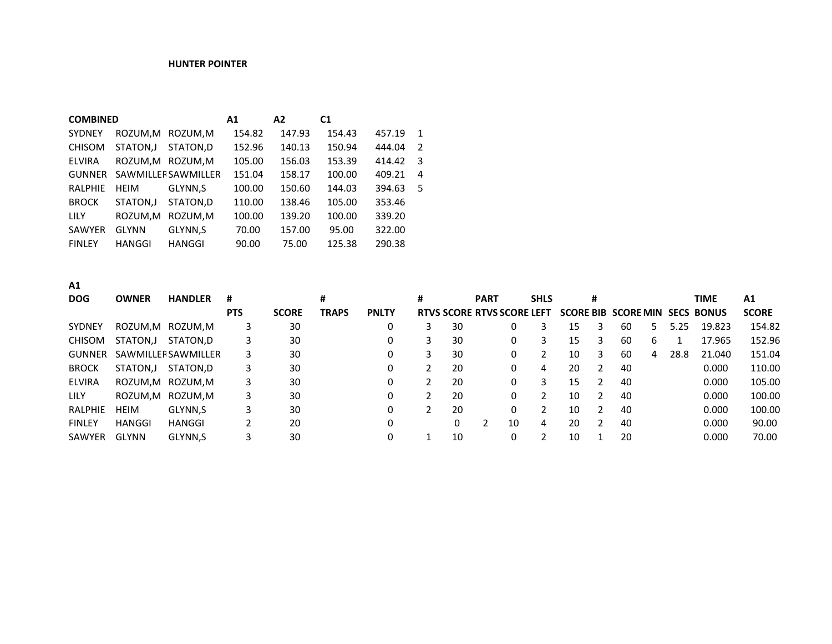## **HUNTER POINTER**

| <b>COMBINED</b> |               |                            | A1     | A2     | C <sub>1</sub> |        |                |
|-----------------|---------------|----------------------------|--------|--------|----------------|--------|----------------|
| <b>SYDNEY</b>   |               | ROZUM.M ROZUM.M            | 154.82 | 147.93 | 154.43         | 457.19 | $\mathbf 1$    |
| <b>CHISOM</b>   | STATON, J     | STATON.D                   | 152.96 | 140.13 | 150.94         | 444.04 | $\overline{2}$ |
| <b>ELVIRA</b>   |               | ROZUM, M ROZUM, M          | 105.00 | 156.03 | 153.39         | 414.42 | -3             |
| <b>GUNNER</b>   |               | <b>SAWMILLER SAWMILLER</b> | 151.04 | 158.17 | 100.00         | 409.21 | 4              |
| <b>RALPHIE</b>  | <b>HEIM</b>   | GLYNN.S                    | 100.00 | 150.60 | 144.03         | 394.63 | .5             |
| <b>BROCK</b>    | STATON.J      | STATON.D                   | 110.00 | 138.46 | 105.00         | 353.46 |                |
| <b>LILY</b>     | ROZUM.M       | ROZUM.M                    | 100.00 | 139.20 | 100.00         | 339.20 |                |
| SAWYER          | <b>GLYNN</b>  | GLYNN.S                    | 70.00  | 157.00 | 95.00          | 322.00 |                |
| <b>FINLEY</b>   | <b>HANGGI</b> | <b>HANGGI</b>              | 90.00  | 75.00  | 125.38         | 290.38 |                |

**A1**

| <b>DOG</b>    | <b>OWNER</b> | <b>HANDLER</b>             | #          |              |              |              |    | <b>PART</b>                       |    | <b>SHLS</b> |    |   |                            |              |      | <b>TIME</b>       | <b>PANLTY</b> |
|---------------|--------------|----------------------------|------------|--------------|--------------|--------------|----|-----------------------------------|----|-------------|----|---|----------------------------|--------------|------|-------------------|---------------|
|               |              |                            | <b>PTS</b> | <b>SCORE</b> | <b>TRAPS</b> | <b>PNLTY</b> |    | <b>RTVS SCORE RTVS SCORE LEFT</b> |    |             |    |   | <b>SCORE BIB SCORE MIN</b> |              |      | <b>SECS BONUS</b> | <b>SCORE</b>  |
| <b>SYDNEY</b> | ROZUM,M      | ROZUM,M                    | 3          | 30           |              |              | 30 |                                   | 0  |             | 15 | 3 | 60                         |              | 5.25 | 19.823            | 154.82        |
| <b>CHISOM</b> | STATON,J     | STATON.D                   | 3.         | 30           |              |              | 30 |                                   | 0  | 3.          | 15 |   | 60                         | <sub>b</sub> |      | 17.965            | 152.96        |
| <b>GUNNER</b> |              | <b>SAWMILLER SAWMILLER</b> | 3.         | 30           |              |              | 30 |                                   | 0  |             | 10 | 3 | 60                         | 4            | 28.8 | 21.040            | 151.04        |
| <b>BROCK</b>  | STATON,J     | STATON.D                   | 3.         | 30           |              |              | 20 |                                   | 0  | 4           | 20 | 2 | 40                         |              |      | 0.000             | 110.00        |
| <b>ELVIRA</b> |              | ROZUM,M ROZUM,M            | 3.         | 30           |              |              | 20 |                                   | 0  | 3.          | 15 |   | 40                         |              |      | 0.000             | 105.00        |
| <b>LILY</b>   | ROZUM,M      | ROZUM.M                    | 3.         | 30           |              |              | 20 |                                   | 0  |             | 10 |   | 40                         |              |      | 0.000             | 100.00        |
| RALPHIE       | <b>HEIM</b>  | GLYNN,S                    | 3          | 30           |              |              | 20 |                                   | 0  |             | 10 |   | 40                         |              |      | 0.000             | 100.00        |
| <b>FINLEY</b> | HANGGI       | HANGGI                     |            | 20           |              |              | 0  |                                   | 10 | 4           | 20 |   | 40                         |              |      | 0.000             | 90.00         |
| SAWYER        | <b>GLYNN</b> | GLYNN,S                    |            | 30           |              |              | 10 |                                   | 0  |             | 10 |   | 20                         |              |      | 0.000             | 70.00         |